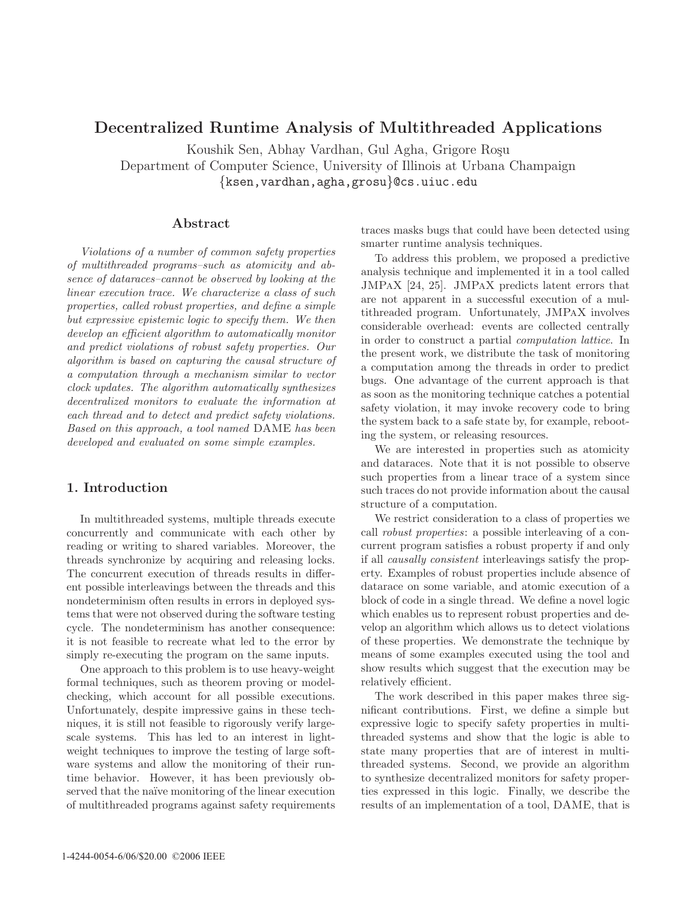# **Decentralized Runtime Analysis of Multithreaded Applications**

Koushik Sen, Abhay Vardhan, Gul Agha, Grigore Roşu Department of Computer Science, University of Illinois at Urbana Champaign {ksen,vardhan,agha,grosu}@cs.uiuc.edu

## **Abstract**

Violations of a number of common safety properties of multithreaded programs–such as atomicity and absence of dataraces–cannot be observed by looking at the linear execution trace. We characterize a class of such properties, called robust properties, and define a simple but expressive epistemic logic to specify them. We then develop an efficient algorithm to automatically monitor and predict violations of robust safety properties. Our algorithm is based on capturing the causal structure of a computation through a mechanism similar to vector clock updates. The algorithm automatically synthesizes decentralized monitors to evaluate the information at each thread and to detect and predict safety violations. Based on this approach, a tool named DAME has been developed and evaluated on some simple examples.

# **1. Introduction**

In multithreaded systems, multiple threads execute concurrently and communicate with each other by reading or writing to shared variables. Moreover, the threads synchronize by acquiring and releasing locks. The concurrent execution of threads results in different possible interleavings between the threads and this nondeterminism often results in errors in deployed systems that were not observed during the software testing cycle. The nondeterminism has another consequence: it is not feasible to recreate what led to the error by simply re-executing the program on the same inputs.

One approach to this problem is to use heavy-weight formal techniques, such as theorem proving or modelchecking, which account for all possible executions. Unfortunately, despite impressive gains in these techniques, it is still not feasible to rigorously verify largescale systems. This has led to an interest in lightweight techniques to improve the testing of large software systems and allow the monitoring of their runtime behavior. However, it has been previously observed that the naïve monitoring of the linear execution of multithreaded programs against safety requirements

traces masks bugs that could have been detected using smarter runtime analysis techniques.

To address this problem, we proposed a predictive analysis technique and implemented it in a tool called JMPaX [24, 25]. JMPaX predicts latent errors that are not apparent in a successful execution of a multithreaded program. Unfortunately, JMPaX involves considerable overhead: events are collected centrally in order to construct a partial computation lattice. In the present work, we distribute the task of monitoring a computation among the threads in order to predict bugs. One advantage of the current approach is that as soon as the monitoring technique catches a potential safety violation, it may invoke recovery code to bring the system back to a safe state by, for example, rebooting the system, or releasing resources.

We are interested in properties such as atomicity and dataraces. Note that it is not possible to observe such properties from a linear trace of a system since such traces do not provide information about the causal structure of a computation.

We restrict consideration to a class of properties we call robust properties: a possible interleaving of a concurrent program satisfies a robust property if and only if all causally consistent interleavings satisfy the property. Examples of robust properties include absence of datarace on some variable, and atomic execution of a block of code in a single thread. We define a novel logic which enables us to represent robust properties and develop an algorithm which allows us to detect violations of these properties. We demonstrate the technique by means of some examples executed using the tool and show results which suggest that the execution may be relatively efficient.

The work described in this paper makes three significant contributions. First, we define a simple but expressive logic to specify safety properties in multithreaded systems and show that the logic is able to state many properties that are of interest in multithreaded systems. Second, we provide an algorithm to synthesize decentralized monitors for safety properties expressed in this logic. Finally, we describe the results of an implementation of a tool, DAME, that is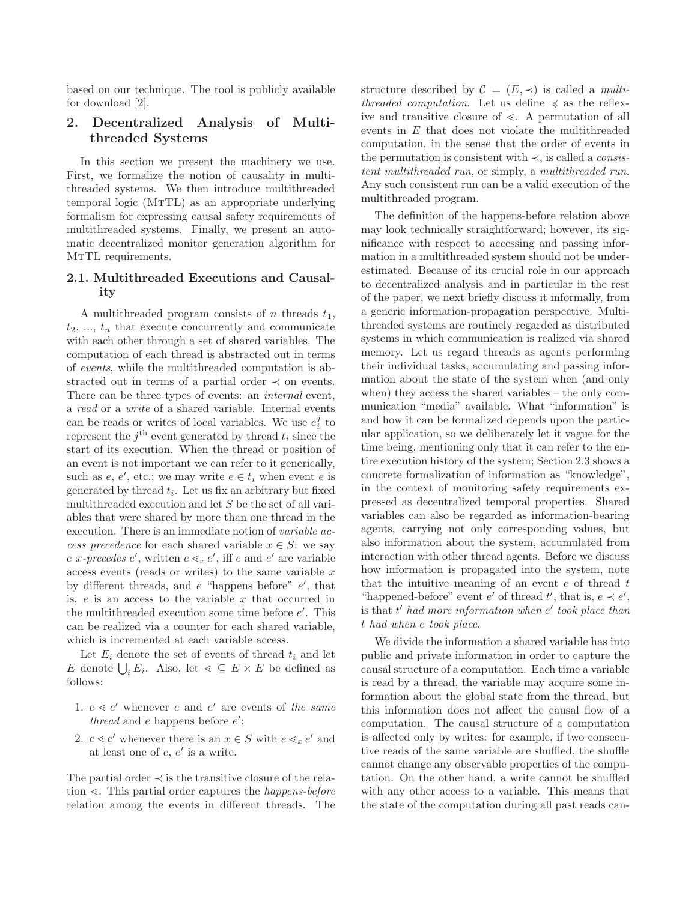based on our technique. The tool is publicly available for download [2].

# **2. Decentralized Analysis of Multithreaded Systems**

In this section we present the machinery we use. First, we formalize the notion of causality in multithreaded systems. We then introduce multithreaded temporal logic (MtTL) as an appropriate underlying formalism for expressing causal safety requirements of multithreaded systems. Finally, we present an automatic decentralized monitor generation algorithm for MTTL requirements.

### **2.1. Multithreaded Executions and Causality**

A multithreaded program consists of n threads  $t_1$ ,  $t_2, \ldots, t_n$  that execute concurrently and communicate with each other through a set of shared variables. The computation of each thread is abstracted out in terms of events, while the multithreaded computation is abstracted out in terms of a partial order  $\prec$  on events. There can be three types of events: an *internal* event, a read or a write of a shared variable. Internal events can be reads or writes of local variables. We use  $e_i^j$  to represent the  $j<sup>th</sup>$  event generated by thread  $t<sub>i</sub>$  since the start of its execution. When the thread or position of an event is not important we can refer to it generically, such as  $e, e',$  etc.; we may write  $e \in t_i$  when event  $e$  is generated by thread  $t_i$ . Let us fix an arbitrary but fixed multithreaded execution and let S be the set of all variables that were shared by more than one thread in the execution. There is an immediate notion of variable access precedence for each shared variable  $x \in S$ : we say e x-precedes e', written  $e \leq x e'$ , iff e and  $e'$  are variable access events (reads or writes) to the same variable  $x$ by different threads, and  $e$  "happens before"  $e'$ , that is,  $e$  is an access to the variable  $x$  that occurred in the multithreaded execution some time before e . This can be realized via a counter for each shared variable, which is incremented at each variable access.

Let  $E_i$  denote the set of events of thread  $t_i$  and let E denote  $\bigcup_i E_i$ . Also, let  $\leq \subseteq E \times E$  be defined as follows:

- 1.  $e \leq e'$  whenever e and e' are events of the same thread and  $e$  happens before  $e'$ ;
- 2.  $e \leq e'$  whenever there is an  $x \in S$  with  $e \leq x e'$  and at least one of  $e, e'$  is a write.

The partial order  $\prec$  is the transitive closure of the relation  $\leq$ . This partial order captures the *happens-before* relation among the events in different threads. The structure described by  $\mathcal{C} = (E, \prec)$  is called a *multi*threaded computation. Let us define  $\preccurlyeq$  as the reflexive and transitive closure of  $\leq$ . A permutation of all events in E that does not violate the multithreaded computation, in the sense that the order of events in the permutation is consistent with  $\prec$ , is called a *consis*tent multithreaded run, or simply, a multithreaded run. Any such consistent run can be a valid execution of the multithreaded program.

The definition of the happens-before relation above may look technically straightforward; however, its significance with respect to accessing and passing information in a multithreaded system should not be underestimated. Because of its crucial role in our approach to decentralized analysis and in particular in the rest of the paper, we next briefly discuss it informally, from a generic information-propagation perspective. Multithreaded systems are routinely regarded as distributed systems in which communication is realized via shared memory. Let us regard threads as agents performing their individual tasks, accumulating and passing information about the state of the system when (and only when) they access the shared variables – the only communication "media" available. What "information" is and how it can be formalized depends upon the particular application, so we deliberately let it vague for the time being, mentioning only that it can refer to the entire execution history of the system; Section 2.3 shows a concrete formalization of information as "knowledge", in the context of monitoring safety requirements expressed as decentralized temporal properties. Shared variables can also be regarded as information-bearing agents, carrying not only corresponding values, but also information about the system, accumulated from interaction with other thread agents. Before we discuss how information is propagated into the system, note that the intuitive meaning of an event  $e$  of thread  $t$ "happened-before" event  $e'$  of thread  $t'$ , that is,  $e \prec e'$ , is that  $t'$  had more information when  $e'$  took place than t had when e took place.

We divide the information a shared variable has into public and private information in order to capture the causal structure of a computation. Each time a variable is read by a thread, the variable may acquire some information about the global state from the thread, but this information does not affect the causal flow of a computation. The causal structure of a computation is affected only by writes: for example, if two consecutive reads of the same variable are shuffled, the shuffle cannot change any observable properties of the computation. On the other hand, a write cannot be shuffled with any other access to a variable. This means that the state of the computation during all past reads can-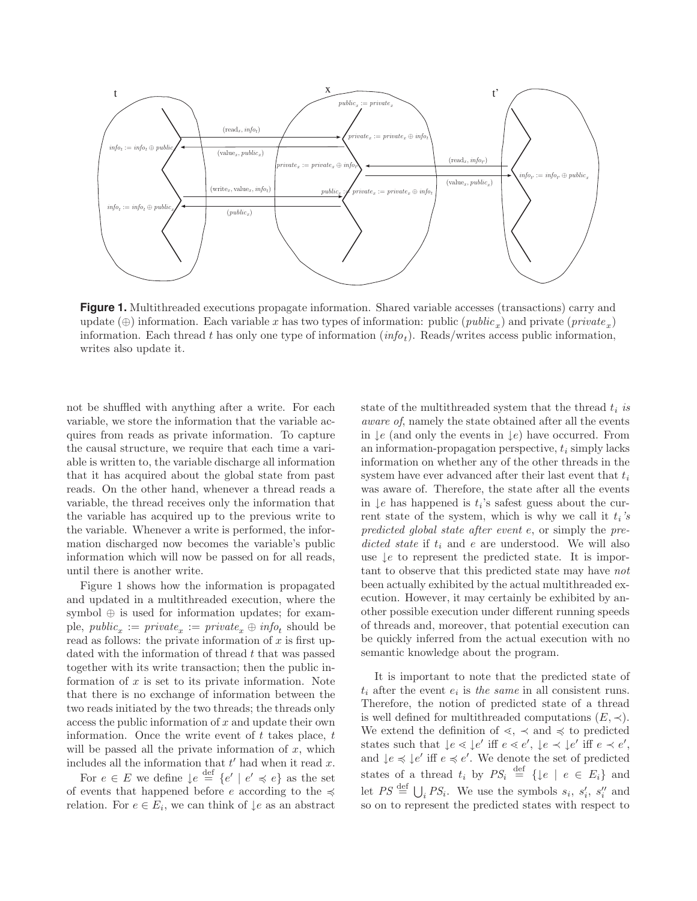

**Figure 1.** Multithreaded executions propagate information. Shared variable accesses (transactions) carry and update (⊕) information. Each variable x has two types of information: public (*public<sub>x</sub>*) and private (*private<sub>x</sub>*) information. Each thread t has only one type of information  $(info<sub>t</sub>)$ . Reads/writes access public information, writes also update it.

not be shuffled with anything after a write. For each variable, we store the information that the variable acquires from reads as private information. To capture the causal structure, we require that each time a variable is written to, the variable discharge all information that it has acquired about the global state from past reads. On the other hand, whenever a thread reads a variable, the thread receives only the information that the variable has acquired up to the previous write to the variable. Whenever a write is performed, the information discharged now becomes the variable's public information which will now be passed on for all reads, until there is another write.

Figure 1 shows how the information is propagated and updated in a multithreaded execution, where the symbol ⊕ is used for information updates; for example,  $public_{x} := private_{x} := private_{x} \oplus info_{t}$  should be read as follows: the private information of  $x$  is first updated with the information of thread t that was passed together with its write transaction; then the public information of  $x$  is set to its private information. Note that there is no exchange of information between the two reads initiated by the two threads; the threads only access the public information of  $x$  and update their own information. Once the write event of  $t$  takes place,  $t$ will be passed all the private information of  $x$ , which includes all the information that  $t'$  had when it read  $x$ .

For  $e \in E$  we define  $\downarrow e \stackrel{\text{def}}{=} \{e' \mid e' \preccurlyeq e\}$  as the set of events that happened before e according to the  $\preccurlyeq$ relation. For  $e \in E_i$ , we can think of  $\downarrow e$  as an abstract state of the multithreaded system that the thread  $t_i$  is aware of, namely the state obtained after all the events in  $\mathcal{L}e$  (and only the events in  $\mathcal{L}e$ ) have occurred. From an information-propagation perspective,  $t_i$  simply lacks information on whether any of the other threads in the system have ever advanced after their last event that  $t_i$ was aware of. Therefore, the state after all the events in  $\downarrow$ e has happened is  $t_i$ 's safest guess about the current state of the system, which is why we call it  $t_i$ 's predicted global state after event e, or simply the predicted state if  $t_i$  and e are understood. We will also use  $\downarrow$ e to represent the predicted state. It is important to observe that this predicted state may have not been actually exhibited by the actual multithreaded execution. However, it may certainly be exhibited by another possible execution under different running speeds of threads and, moreover, that potential execution can be quickly inferred from the actual execution with no semantic knowledge about the program.

It is important to note that the predicted state of  $t_i$  after the event  $e_i$  is the same in all consistent runs. Therefore, the notion of predicted state of a thread is well defined for multithreaded computations  $(E, \prec)$ . We extend the definition of  $\leq$ ,  $\prec$  and  $\leq$  to predicted states such that  $\downarrow e \leq \downarrow e'$  iff  $e \leq e'$ ,  $\downarrow e \leq \downarrow e'$  iff  $e \leq e'$ , and  $\downarrow e \preccurlyeq \downarrow e'$  iff  $e \preccurlyeq e'$ . We denote the set of predicted states of a thread  $t_i$  by  $PS_i \stackrel{\text{def}}{=} {\{\downarrow e \mid e \in E_i\}}$  and let  $PS \stackrel{\text{def}}{=} \bigcup_i PS_i$ . We use the symbols  $s_i$ ,  $s'_i$ ,  $s''_i$  and so on to represent the predicted states with respect to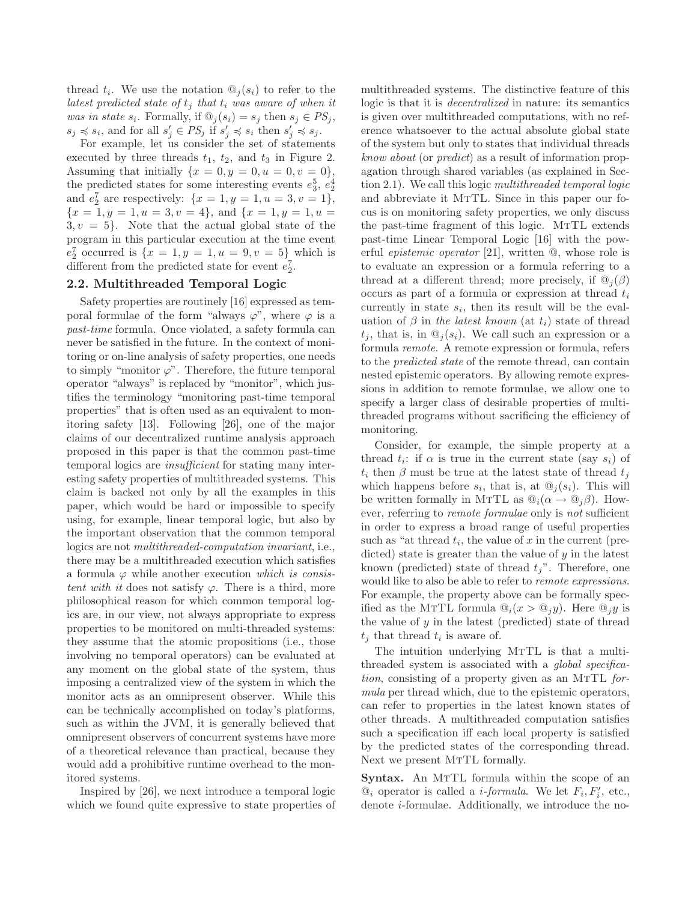thread  $t_i$ . We use the notation  $\mathcal{Q}_i(s_i)$  to refer to the latest predicted state of  $t_j$  that  $t_i$  was aware of when it was in state  $s_i$ . Formally, if  $\mathbb{Q}_j(s_i) = s_j$  then  $s_j \in PS_j$ ,  $s_j \preccurlyeq s_i$ , and for all  $s'_j \in PS_j$  if  $s'_j \preccurlyeq s_i$  then  $s'_j \preccurlyeq s_j$ .

For example, let us consider the set of statements executed by three threads  $t_1$ ,  $t_2$ , and  $t_3$  in Figure 2. Assuming that initially  $\{x = 0, y = 0, u = 0, v = 0\},\$ the predicted states for some interesting events  $e_3^5, e_2^4$ and  $e_2^7$  are respectively:  $\{x = 1, y = 1, u = 3, v = 1\},\$  ${x = 1, y = 1, u = 3, v = 4}, \text{ and } {x = 1, y = 1, u = 1}$  $3, v = 5$ . Note that the actual global state of the program in this particular execution at the time event  $e_2^7$  occurred is  $\{x = 1, y = 1, u = 9, v = 5\}$ , which is different from the predicted state for event  $e_2^7$ .

## **2.2. Multithreaded Temporal Logic**

Safety properties are routinely [16] expressed as temporal formulae of the form "always  $\varphi$ ", where  $\varphi$  is a past-time formula. Once violated, a safety formula can never be satisfied in the future. In the context of monitoring or on-line analysis of safety properties, one needs to simply "monitor  $\varphi$ ". Therefore, the future temporal operator "always" is replaced by "monitor", which justifies the terminology "monitoring past-time temporal properties" that is often used as an equivalent to monitoring safety [13]. Following [26], one of the major claims of our decentralized runtime analysis approach proposed in this paper is that the common past-time temporal logics are *insufficient* for stating many interesting safety properties of multithreaded systems. This claim is backed not only by all the examples in this paper, which would be hard or impossible to specify using, for example, linear temporal logic, but also by the important observation that the common temporal logics are not multithreaded-computation invariant, i.e., there may be a multithreaded execution which satisfies a formula  $\varphi$  while another execution which is consistent with it does not satisfy  $\varphi$ . There is a third, more philosophical reason for which common temporal logics are, in our view, not always appropriate to express properties to be monitored on multi-threaded systems: they assume that the atomic propositions (i.e., those involving no temporal operators) can be evaluated at any moment on the global state of the system, thus imposing a centralized view of the system in which the monitor acts as an omnipresent observer. While this can be technically accomplished on today's platforms, such as within the JVM, it is generally believed that omnipresent observers of concurrent systems have more of a theoretical relevance than practical, because they would add a prohibitive runtime overhead to the monitored systems.

Inspired by [26], we next introduce a temporal logic which we found quite expressive to state properties of

multithreaded systems. The distinctive feature of this logic is that it is decentralized in nature: its semantics is given over multithreaded computations, with no reference whatsoever to the actual absolute global state of the system but only to states that individual threads know about (or predict) as a result of information propagation through shared variables (as explained in Section 2.1). We call this logic multithreaded temporal logic and abbreviate it MTTL. Since in this paper our focus is on monitoring safety properties, we only discuss the past-time fragment of this logic. MTTL extends past-time Linear Temporal Logic [16] with the powerful epistemic operator [21], written @, whose role is to evaluate an expression or a formula referring to a thread at a different thread; more precisely, if  $\mathcal{Q}_i(\beta)$ occurs as part of a formula or expression at thread  $t_i$ currently in state  $s_i$ , then its result will be the evaluation of  $\beta$  in the latest known (at  $t_i$ ) state of thread  $t_i$ , that is, in  $\mathbb{Q}_i(s_i)$ . We call such an expression or a formula remote. A remote expression or formula, refers to the predicted state of the remote thread, can contain nested epistemic operators. By allowing remote expressions in addition to remote formulae, we allow one to specify a larger class of desirable properties of multithreaded programs without sacrificing the efficiency of monitoring.

Consider, for example, the simple property at a thread  $t_i$ : if  $\alpha$  is true in the current state (say  $s_i$ ) of  $t_i$  then  $\beta$  must be true at the latest state of thread  $t_j$ which happens before  $s_i$ , that is, at  $\mathcal{Q}_i(s_i)$ . This will be written formally in MTTL as  $\mathbb{Q}_i(\alpha \to \mathbb{Q}_i \beta)$ . However, referring to *remote formulae* only is *not* sufficient in order to express a broad range of useful properties such as "at thread  $t_i$ , the value of x in the current (predicted) state is greater than the value of  $y$  in the latest known (predicted) state of thread  $t_j$ ". Therefore, one would like to also be able to refer to remote expressions. For example, the property above can be formally specified as the MTTL formula  $\mathbb{Q}_i(x > \mathbb{Q}_i y)$ . Here  $\mathbb{Q}_i y$  is the value of  $y$  in the latest (predicted) state of thread  $t_i$  that thread  $t_i$  is aware of.

The intuition underlying MTTL is that a multithreaded system is associated with a global specifica*tion*, consisting of a property given as an MTTL *for*mula per thread which, due to the epistemic operators, can refer to properties in the latest known states of other threads. A multithreaded computation satisfies such a specification iff each local property is satisfied by the predicted states of the corresponding thread. Next we present MTTL formally.

**Syntax.** An MTTL formula within the scope of an  $\mathcal{Q}_i$  operator is called a *i-formula*. We let  $F_i, F'_i$ , etc., denote i-formulae. Additionally, we introduce the no-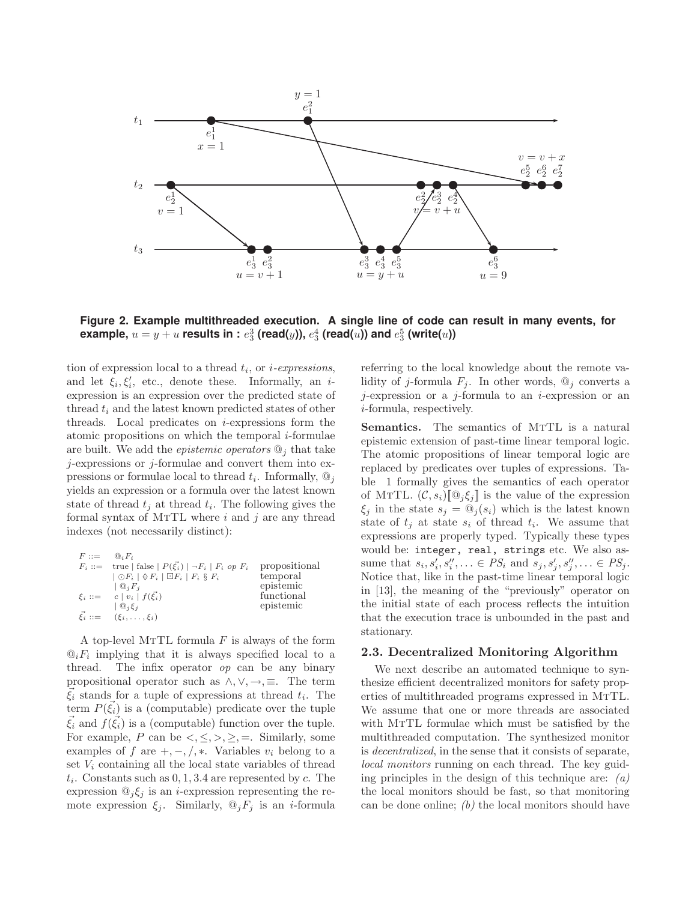

**Figure 2. Example multithreaded execution. A single line of code can result in many events, for** example,  $u=y+u$  results in :  $e_3^3$  (read( $y$ )),  $e_3^4$  (read( $u$ )) and  $e_3^5$  (write( $u$ ))

tion of expression local to a thread  $t_i$ , or *i-expressions*, and let  $\xi_i, \xi'_i$ , etc., denote these. Informally, an *i*expression is an expression over the predicted state of thread  $t_i$  and the latest known predicted states of other threads. Local predicates on  $i$ -expressions form the atomic propositions on which the temporal  $i$ -formulae are built. We add the *epistemic operators*  $\mathcal{Q}_j$  that take  $j$ -expressions or  $j$ -formulae and convert them into expressions or formulae local to thread  $t_i$ . Informally,  $\mathbb{Q}_i$ yields an expression or a formula over the latest known state of thread  $t_i$  at thread  $t_i$ . The following gives the formal syntax of MTTL where  $i$  and  $j$  are any thread indexes (not necessarily distinct):

| $F ::=$ | $\mathbb{Q}_i F_i$                                                          |               |
|---------|-----------------------------------------------------------------------------|---------------|
|         | $F_i ::=$ true   false   $P(\vec{\xi_i})$   $\neg F_i$   $F_i$ op $F_i$     | propositional |
|         | $\vert \bigcirc F_i \vert \otimes F_i \vert \Box F_i \vert F_i \otimes F_i$ | temporal      |
|         | $\mathbb{Q}_i F_i$                                                          | epistemic     |
|         | $\xi_i ::= c   v_i   f(\vec{\xi_i})$                                        | functional    |
|         | $\mathcal{Q}_i \mathcal{E}_i$                                               | epistemic     |
|         | $\vec{\xi}_i := (\xi_i, \ldots, \xi_i)$                                     |               |

A top-level MTTL formula  $F$  is always of the form  $\mathbb{Q}_i$  implying that it is always specified local to a thread. The infix operator op can be any binary propositional operator such as  $\land, \lor, \rightarrow, \equiv$ . The term  $\vec{\xi}_i$  stands for a tuple of expressions at thread  $t_i$ . The term  $P(\xi_i)$  is a (computable) predicate over the tuple  $\xi_i$  and  $f(\xi_i)$  is a (computable) function over the tuple. For example, P can be  $\langle \leq, \leq, \geq, \geq, =$ . Similarly, some examples of f are  $+, -, /, *$ . Variables  $v_i$  belong to a set  $V_i$  containing all the local state variables of thread  $t_i$ . Constants such as  $0, 1, 3.4$  are represented by c. The expression  $\mathbb{Q}_j \xi_j$  is an *i*-expression representing the remote expression  $\xi_j$ . Similarly,  $\mathcal{Q}_j F_j$  is an *i*-formula

referring to the local knowledge about the remote validity of j-formula  $F_j$ . In other words,  $\mathcal{Q}_j$  converts a  $j$ -expression or a  $j$ -formula to an  $i$ -expression or an i-formula, respectively.

**Semantics.** The semantics of MTTL is a natural epistemic extension of past-time linear temporal logic. The atomic propositions of linear temporal logic are replaced by predicates over tuples of expressions. Table 1 formally gives the semantics of each operator of MTTL.  $(C, s_i)[\mathbb{Q}_j \xi_i]$  is the value of the expression  $\xi_j$  in the state  $s_j = \mathbb{Q}_j(s_i)$  which is the latest known state of  $t_j$  at state  $s_i$  of thread  $t_i$ . We assume that expressions are properly typed. Typically these types would be: integer, real, strings etc. We also assume that  $s_i, s'_i, s''_i, ... \in PS_i$  and  $s_j, s'_j, s''_j, ... \in PS_j$ . Notice that, like in the past-time linear temporal logic in [13], the meaning of the "previously" operator on the initial state of each process reflects the intuition that the execution trace is unbounded in the past and stationary.

#### **2.3. Decentralized Monitoring Algorithm**

We next describe an automated technique to synthesize efficient decentralized monitors for safety properties of multithreaded programs expressed in MTTL. We assume that one or more threads are associated with MTTL formulae which must be satisfied by the multithreaded computation. The synthesized monitor is decentralized, in the sense that it consists of separate, local monitors running on each thread. The key guiding principles in the design of this technique are:  $(a)$ the local monitors should be fast, so that monitoring can be done online;  $(b)$  the local monitors should have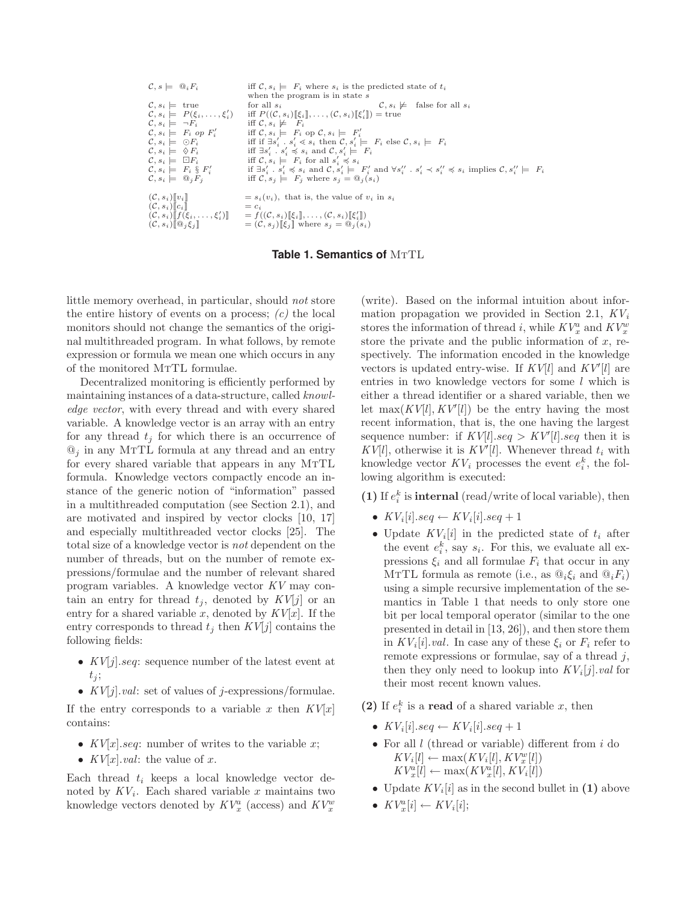| $\mathcal{C}, s \models \mathbb{Q}_i F_i$                                                                                                                                                                                                                                                                                                                                                    | iff $\mathcal{C}, s_i \models F_i$ where $s_i$ is the predicted state of $t_i$<br>when the program is in state s                                                                                                                                                                                                                                                                                                                                                                                                                                                                                                                                                                                                                                                                                                           |
|----------------------------------------------------------------------------------------------------------------------------------------------------------------------------------------------------------------------------------------------------------------------------------------------------------------------------------------------------------------------------------------------|----------------------------------------------------------------------------------------------------------------------------------------------------------------------------------------------------------------------------------------------------------------------------------------------------------------------------------------------------------------------------------------------------------------------------------------------------------------------------------------------------------------------------------------------------------------------------------------------------------------------------------------------------------------------------------------------------------------------------------------------------------------------------------------------------------------------------|
| $\mathcal{C}, s_i \models$ true<br>$\mathcal{C}, s_i \models P(\xi_i, \ldots, \xi'_i)$<br>$\mathcal{C}, s_i \models \neg F_i$<br>$\mathcal{C}, s_i \models F_i$ op $F'_i$<br>$\mathcal{C}, s_i \models \odot F_i$<br>$\mathcal{C}, s_i \models \Diamond F_i$<br>$\mathcal{C}, s_i \models \Box F_i$<br>$\mathcal{C}, s_i \models F_i \S F'_i$<br>$\mathcal{C}, s_i \models \mathbb{Q}_i F_i$ | $\mathcal{C}, s_i \not\models$ false for all $s_i$<br>for all $s_i$<br>iff $P((\mathcal{C}, s_i)[\xi_i], \ldots, (\mathcal{C}, s_i)[\xi_i']) =$ true<br>iff $\mathcal{C}, s_i \not\models F_i$<br>iff $\mathcal{C}, s_i \models F_i$ op $\mathcal{C}, s_i \models F'_i$<br>iff if $\exists s'_i \cdot s'_i \leq s_i$ then $\mathcal{C}, s'_i \models F_i$ else $\mathcal{C}, s_i \models F_i$<br>iff $\exists s'_i \cdot s'_i \preccurlyeq s_i$ and $\mathcal{C}, s'_i \models F_i$<br>iff $\mathcal{C}, s_i \models F_i$ for all $s'_i \preccurlyeq s_i$<br>if $\exists s'_i \cdot s'_i \preccurlyeq s_i$ and $\mathcal{C}, s'_i \models F'_i$ and $\forall s''_i \cdot s'_i \prec s''_i \preccurlyeq s_i$ implies $\mathcal{C}, s''_i \models F_i$<br>iff $\mathcal{C}, s_i \models F_i$ where $s_i = \mathbb{Q}_i(s_i)$ |
| $(C, s_i)$ [ $v_i$ ]<br>$(C, s_i)\llbracket c_i \rrbracket$<br>$(C, s_i)$ $\mathbb{Q}_i \xi_i$                                                                                                                                                                                                                                                                                               | $s_i(v_i)$ , that is, the value of $v_i$ in $s_i$<br>$= c_i$<br>$(\mathcal{C}, s_i)$ $\llbracket f(\xi_i, \ldots, \xi'_i) \rrbracket = f((\mathcal{C}, s_i) \llbracket \xi_i \rrbracket, \ldots, (\mathcal{C}, s_i) \llbracket \xi'_i \rrbracket)$<br>$=(\mathcal{C}, s_i)[\![\xi_i]\!]$ where $s_i = \mathbb{Q}_i(s_i)$                                                                                                                                                                                                                                                                                                                                                                                                                                                                                                   |

**Table 1. Semantics of MTTL** 

little memory overhead, in particular, should not store the entire history of events on a process;  $(c)$  the local monitors should not change the semantics of the original multithreaded program. In what follows, by remote expression or formula we mean one which occurs in any of the monitored  ${\rm M}{\rm T}{\rm L}$  formulae.

Decentralized monitoring is efficiently performed by maintaining instances of a data-structure, called knowledge vector, with every thread and with every shared variable. A knowledge vector is an array with an entry for any thread  $t_i$  for which there is an occurrence of  $\mathbb{Q}_i$  in any MTTL formula at any thread and an entry for every shared variable that appears in any MTTL formula. Knowledge vectors compactly encode an instance of the generic notion of "information" passed in a multithreaded computation (see Section 2.1), and are motivated and inspired by vector clocks [10, 17] and especially multithreaded vector clocks [25]. The total size of a knowledge vector is not dependent on the number of threads, but on the number of remote expressions/formulae and the number of relevant shared program variables. A knowledge vector KV may contain an entry for thread  $t_j$ , denoted by  $KV[j]$  or an entry for a shared variable x, denoted by  $KV[x]$ . If the entry corresponds to thread  $t_i$  then  $KV[j]$  contains the following fields:

- $KV[j].seq: sequence number of the latest event at$  $t_i$ ;
- $KV[j].val:$  set of values of j-expressions/formulae.

If the entry corresponds to a variable x then  $KV[x]$ contains:

- $KV[x].seq:$  number of writes to the variable x;
- $KV[x].val:$  the value of x.

Each thread  $t_i$  keeps a local knowledge vector denoted by  $KV_i$ . Each shared variable x maintains two knowledge vectors denoted by  $KV_x^a$  (access) and  $KV_x^w$ 

(write). Based on the informal intuition about information propagation we provided in Section 2.1,  $KV_i$ stores the information of thread *i*, while  $KV_x^a$  and  $KV_x^w$ store the private and the public information of  $x$ , respectively. The information encoded in the knowledge vectors is updated entry-wise. If  $KV[l]$  and  $KV'[l]$  are entries in two knowledge vectors for some l which is either a thread identifier or a shared variable, then we let  $\max(KV[l], KV'[l])$  be the entry having the most recent information, that is, the one having the largest sequence number: if  $KV[l].seq > KV[l].seq$  then it is  $KV[l]$ , otherwise it is  $KV'[l]$ . Whenever thread  $t_i$  with knowledge vector  $KV_i$  processes the event  $e_i^k$ , the following algorithm is executed:

(1) If  $e_i^k$  is **internal** (read/write of local variable), then

- $KV_i[i].seq \leftarrow KV_i[i].seq + 1$
- Update  $KV_i[i]$  in the predicted state of  $t_i$  after the event  $e_i^k$ , say  $s_i$ . For this, we evaluate all expressions  $\xi_i$  and all formulae  $F_i$  that occur in any MTTL formula as remote (i.e., as  $@_i\xi_i$  and  $@_iF_i)$ using a simple recursive implementation of the semantics in Table 1 that needs to only store one bit per local temporal operator (similar to the one presented in detail in [13, 26]), and then store them in  $KV_i[i].val$ . In case any of these  $\xi_i$  or  $F_i$  refer to remote expressions or formulae, say of a thread  $j$ , then they only need to lookup into  $KV_i[j].val$  for their most recent known values.
- (2) If  $e_i^k$  is a **read** of a shared variable x, then
	- $KV_i[i].seq \leftarrow KV_i[i].seq + 1$
	- For all  $l$  (thread or variable) different from  $i$  do  $KV_i[l] \leftarrow \max(KV_i[l], KV_x^w[l])$  $KV_x^a[l] \leftarrow \max(KV_x^a[l], KV_i[l])$
	- Update  $KV_i[i]$  as in the second bullet in (1) above
	- $KV_x^n[i] \leftarrow KV_i[i];$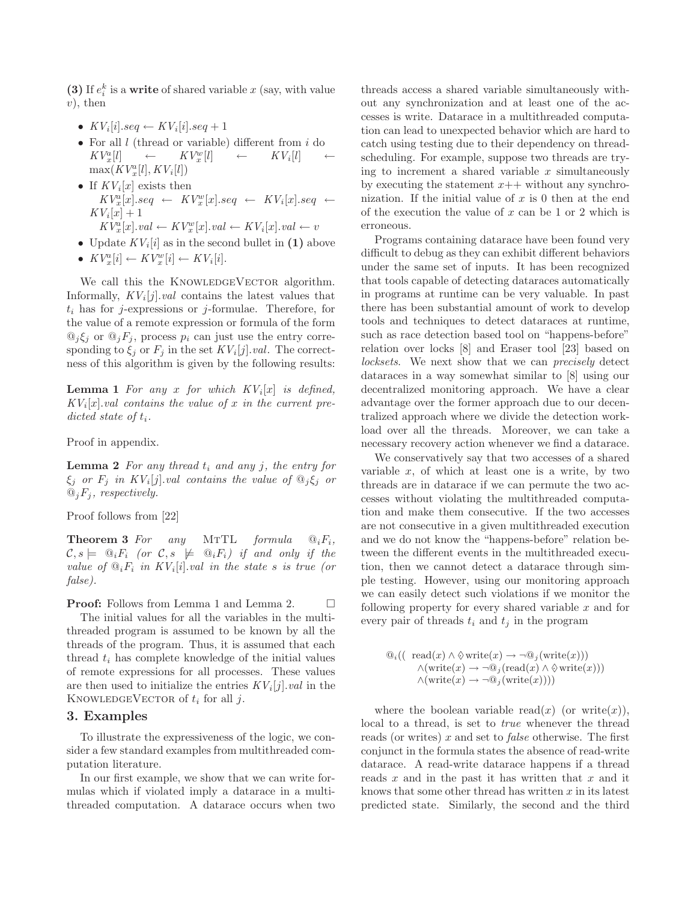(3) If  $e_i^k$  is a **write** of shared variable x (say, with value  $v)$ , then

- $KV_i[i].seq \leftarrow KV_i[i].seq + 1$
- For all l (thread or variable) different from i do  $KV^a[l] \leftarrow KV^w[l] \leftarrow KV^s[l]$  $KV_x^a[l]$  $\leftarrow$   $KV_x^w[l]$  $KV_i[l]$  $\max(KV_x^a[l], KV_i[l])$
- If  $KV_i[x]$  exists then  $KV_x^a[x].seq \leftarrow KV_x^w[x].seq \leftarrow KV_i[x].seq \leftarrow$  $KV_i[x]+1$  $KV_x^a[x].val \leftarrow KV_x^w[x].val \leftarrow KV_i[x].val \leftarrow v$
- Update  $KV_i[i]$  as in the second bullet in  $(1)$  above
- $KV_x^a[i] \leftarrow KV_x^w[i] \leftarrow KV_i[i].$

We call this the KNOWLEDGEVECTOR algorithm. Informally,  $KV_i[j].val$  contains the latest values that  $t_i$  has for j-expressions or j-formulae. Therefore, for the value of a remote expression or formula of the form  $\mathbb{Q}_j \xi_j$  or  $\mathbb{Q}_j F_j$ , process  $p_i$  can just use the entry corresponding to  $\xi_i$  or  $F_i$  in the set  $KV_i[j].val$ . The correctness of this algorithm is given by the following results:

**Lemma 1** For any x for which  $KV_i[x]$  is defined,  $KV_i[x].val$  contains the value of x in the current predicted state of  $t_i$ .

Proof in appendix.

**Lemma 2** For any thread  $t_i$  and any j, the entry for  $\xi_j$  or  $F_j$  in  $KV_i[j].val$  contains the value of  $\mathcal{Q}_j \xi_j$  or  $\mathcal{Q}_j F_j$ , respectively.

Proof follows from [22]

**Theorem 3** For any MTTL formula  $\mathbb{Q}_i F_i$ ,  $\mathcal{C}, s \models \mathbb{Q}_i F_i$  (or  $\mathcal{C}, s \not\models \mathbb{Q}_i F_i$ ) if and only if the value of  $\mathbb{Q}_i F_i$  in  $KV_i[i].val$  in the state s is true (or false).

**Proof:** Follows from Lemma 1 and Lemma 2.  $\Box$ 

The initial values for all the variables in the multithreaded program is assumed to be known by all the threads of the program. Thus, it is assumed that each thread  $t_i$  has complete knowledge of the initial values of remote expressions for all processes. These values are then used to initialize the entries  $KV_i[j].val$  in the KNOWLEDGEVECTOR of  $t_i$  for all j.

### **3. Examples**

To illustrate the expressiveness of the logic, we consider a few standard examples from multithreaded computation literature.

In our first example, we show that we can write formulas which if violated imply a datarace in a multithreaded computation. A datarace occurs when two

threads access a shared variable simultaneously without any synchronization and at least one of the accesses is write. Datarace in a multithreaded computation can lead to unexpected behavior which are hard to catch using testing due to their dependency on threadscheduling. For example, suppose two threads are trying to increment a shared variable  $x$  simultaneously by executing the statement  $x++$  without any synchronization. If the initial value of  $x$  is 0 then at the end of the execution the value of  $x$  can be 1 or 2 which is erroneous.

Programs containing datarace have been found very difficult to debug as they can exhibit different behaviors under the same set of inputs. It has been recognized that tools capable of detecting dataraces automatically in programs at runtime can be very valuable. In past there has been substantial amount of work to develop tools and techniques to detect dataraces at runtime, such as race detection based tool on "happens-before" relation over locks [8] and Eraser tool [23] based on locksets. We next show that we can precisely detect dataraces in a way somewhat similar to [8] using our decentralized monitoring approach. We have a clear advantage over the former approach due to our decentralized approach where we divide the detection workload over all the threads. Moreover, we can take a necessary recovery action whenever we find a datarace.

We conservatively say that two accesses of a shared variable  $x$ , of which at least one is a write, by two threads are in datarace if we can permute the two accesses without violating the multithreaded computation and make them consecutive. If the two accesses are not consecutive in a given multithreaded execution and we do not know the "happens-before" relation between the different events in the multithreaded execution, then we cannot detect a datarace through simple testing. However, using our monitoring approach we can easily detect such violations if we monitor the following property for every shared variable  $x$  and for every pair of threads  $t_i$  and  $t_j$  in the program

$$
\begin{array}{ll}\n\mathbb{Q}_i((\text{ read}(x) \land \Diamond \text{write}(x) \to \neg \mathbb{Q}_j(\text{write}(x))) \\
\land (\text{write}(x) \to \neg \mathbb{Q}_j(\text{read}(x) \land \Diamond \text{write}(x))) \\
\land (\text{write}(x) \to \neg \mathbb{Q}_j(\text{write}(x))))\n\end{array}
$$

where the boolean variable read(x) (or write(x)), local to a thread, is set to *true* whenever the thread reads (or writes)  $x$  and set to *false* otherwise. The first conjunct in the formula states the absence of read-write datarace. A read-write datarace happens if a thread reads  $x$  and in the past it has written that  $x$  and it knows that some other thread has written  $x$  in its latest predicted state. Similarly, the second and the third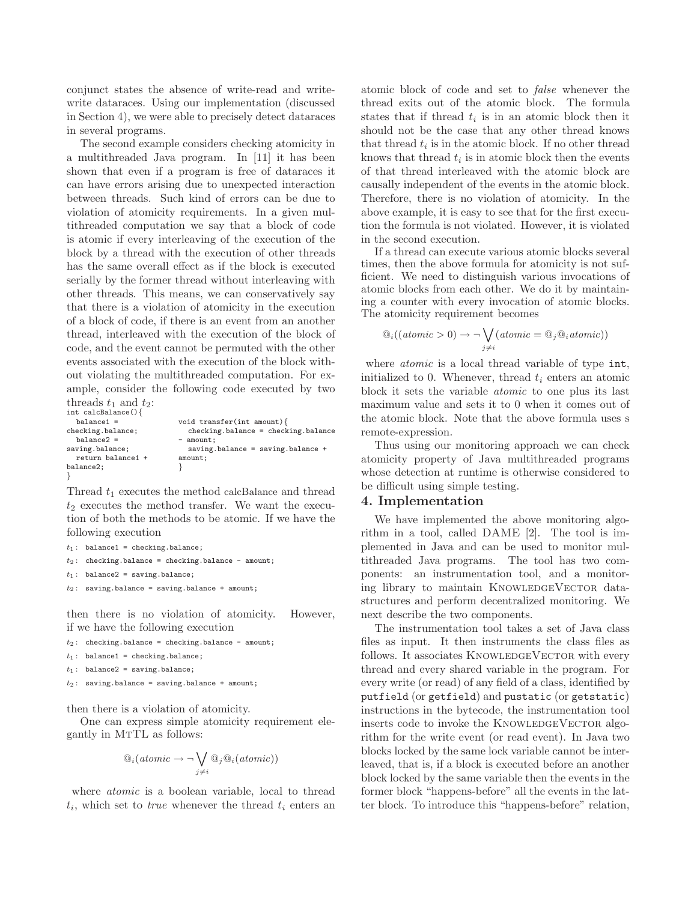conjunct states the absence of write-read and writewrite dataraces. Using our implementation (discussed in Section 4), we were able to precisely detect dataraces in several programs.

The second example considers checking atomicity in a multithreaded Java program. In [11] it has been shown that even if a program is free of dataraces it can have errors arising due to unexpected interaction between threads. Such kind of errors can be due to violation of atomicity requirements. In a given multithreaded computation we say that a block of code is atomic if every interleaving of the execution of the block by a thread with the execution of other threads has the same overall effect as if the block is executed serially by the former thread without interleaving with other threads. This means, we can conservatively say that there is a violation of atomicity in the execution of a block of code, if there is an event from an another thread, interleaved with the execution of the block of code, and the event cannot be permuted with the other events associated with the execution of the block without violating the multithreaded computation. For example, consider the following code executed by two

```
threads t_1 and t_2:<br>int calcBalance(){
  balance1 =
checking.balance;
  balance2 =saving.balance;
  return balance1 +
balance2;
}
                              void transfer(int amount){
                                checking.balance = checking.balance
                              - amount:
                                saving.balance = saving.balance +
                              amount;
                              }
```
Thread  $t_1$  executes the method calcBalance and thread  $t_2$  executes the method transfer. We want the execution of both the methods to be atomic. If we have the following execution

```
t_1: balance1 = checking.balance;
```

```
t_2: checking.balance = checking.balance - amount;
```

```
t_1: balance2 = saving.balance;
```
 $t_2$ : saving.balance = saving.balance + amount;

then there is no violation of atomicity. However, if we have the following execution

 $t_2$ : checking.balance = checking.balance - amount;

```
t_1: balance1 = checking.balance;
```

```
t_1: balance2 = saving.balance;
```

```
t_2: saving.balance = saving.balance + amount;
```
then there is a violation of atomicity.

One can express simple atomicity requirement elegantly in MTTL as follows:

$$
\mathbf{Q}_i(\text{atomic} \to \neg \bigvee_{j \neq i} \mathbf{Q}_j \mathbf{Q}_i(\text{atomic}))
$$

where *atomic* is a boolean variable, local to thread  $t_i$ , which set to *true* whenever the thread  $t_i$  enters an atomic block of code and set to false whenever the thread exits out of the atomic block. The formula states that if thread  $t_i$  is in an atomic block then it should not be the case that any other thread knows that thread  $t_i$  is in the atomic block. If no other thread knows that thread  $t_i$  is in atomic block then the events of that thread interleaved with the atomic block are causally independent of the events in the atomic block. Therefore, there is no violation of atomicity. In the above example, it is easy to see that for the first execution the formula is not violated. However, it is violated in the second execution.

If a thread can execute various atomic blocks several times, then the above formula for atomicity is not sufficient. We need to distinguish various invocations of atomic blocks from each other. We do it by maintaining a counter with every invocation of atomic blocks. The atomicity requirement becomes

$$
\mathbb{Q}_i((atomic > 0) \to \neg \bigvee_{j \neq i} (atomic = \mathbb{Q}_j \mathbb{Q}_i atomic))
$$

where *atomic* is a local thread variable of type int, initialized to 0. Whenever, thread  $t_i$  enters an atomic block it sets the variable atomic to one plus its last maximum value and sets it to 0 when it comes out of the atomic block. Note that the above formula uses s remote-expression.

Thus using our monitoring approach we can check atomicity property of Java multithreaded programs whose detection at runtime is otherwise considered to be difficult using simple testing.

## **4. Implementation**

We have implemented the above monitoring algorithm in a tool, called DAME [2]. The tool is implemented in Java and can be used to monitor multithreaded Java programs. The tool has two components: an instrumentation tool, and a monitoring library to maintain KNOWLEDGEVECTOR datastructures and perform decentralized monitoring. We next describe the two components.

The instrumentation tool takes a set of Java class files as input. It then instruments the class files as follows. It associates KNOWLEDGEVECTOR with every thread and every shared variable in the program. For every write (or read) of any field of a class, identified by putfield (or getfield) and pustatic (or getstatic) instructions in the bytecode, the instrumentation tool inserts code to invoke the KNOWLEDGEVECTOR algorithm for the write event (or read event). In Java two blocks locked by the same lock variable cannot be interleaved, that is, if a block is executed before an another block locked by the same variable then the events in the former block "happens-before" all the events in the latter block. To introduce this "happens-before" relation,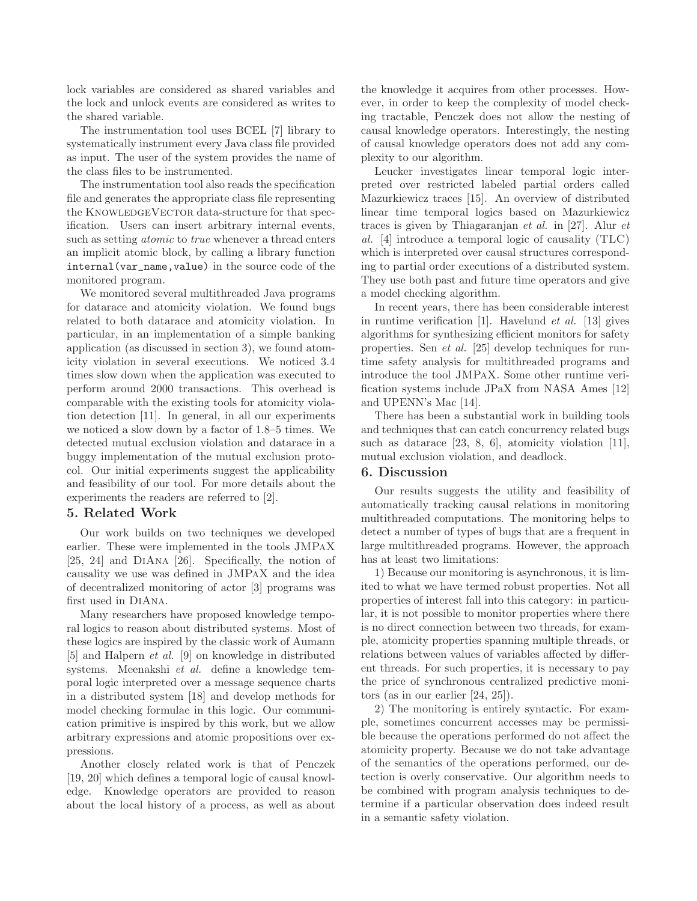lock variables are considered as shared variables and the lock and unlock events are considered as writes to the shared variable.

The instrumentation tool uses BCEL [7] library to systematically instrument every Java class file provided as input. The user of the system provides the name of the class files to be instrumented.

The instrumentation tool also reads the specification file and generates the appropriate class file representing the KNOWLEDGEVECTOR data-structure for that specification. Users can insert arbitrary internal events, such as setting *atomic* to *true* whenever a thread enters an implicit atomic block, by calling a library function internal(var\_name,value) in the source code of the monitored program.

We monitored several multithreaded Java programs for datarace and atomicity violation. We found bugs related to both datarace and atomicity violation. In particular, in an implementation of a simple banking application (as discussed in section 3), we found atomicity violation in several executions. We noticed 3.4 times slow down when the application was executed to perform around 2000 transactions. This overhead is comparable with the existing tools for atomicity violation detection [11]. In general, in all our experiments we noticed a slow down by a factor of 1.8–5 times. We detected mutual exclusion violation and datarace in a buggy implementation of the mutual exclusion protocol. Our initial experiments suggest the applicability and feasibility of our tool. For more details about the experiments the readers are referred to [2].

## **5. Related Work**

Our work builds on two techniques we developed earlier. These were implemented in the tools JMPaX [25, 24] and DiAna [26]. Specifically, the notion of causality we use was defined in JMPaX and the idea of decentralized monitoring of actor [3] programs was first used in DiAna.

Many researchers have proposed knowledge temporal logics to reason about distributed systems. Most of these logics are inspired by the classic work of Aumann [5] and Halpern et al. [9] on knowledge in distributed systems. Meenakshi et al. define a knowledge temporal logic interpreted over a message sequence charts in a distributed system [18] and develop methods for model checking formulae in this logic. Our communication primitive is inspired by this work, but we allow arbitrary expressions and atomic propositions over expressions.

Another closely related work is that of Penczek [19, 20] which defines a temporal logic of causal knowledge. Knowledge operators are provided to reason about the local history of a process, as well as about

the knowledge it acquires from other processes. However, in order to keep the complexity of model checking tractable, Penczek does not allow the nesting of causal knowledge operators. Interestingly, the nesting of causal knowledge operators does not add any complexity to our algorithm.

Leucker investigates linear temporal logic interpreted over restricted labeled partial orders called Mazurkiewicz traces [15]. An overview of distributed linear time temporal logics based on Mazurkiewicz traces is given by Thiagaranjan et al. in [27]. Alur et al. [4] introduce a temporal logic of causality (TLC) which is interpreted over causal structures corresponding to partial order executions of a distributed system. They use both past and future time operators and give a model checking algorithm.

In recent years, there has been considerable interest in runtime verification [1]. Havelund et al. [13] gives algorithms for synthesizing efficient monitors for safety properties. Sen et al. [25] develop techniques for runtime safety analysis for multithreaded programs and introduce the tool JMPaX. Some other runtime verification systems include JPaX from NASA Ames [12] and UPENN's Mac [14].

There has been a substantial work in building tools and techniques that can catch concurrency related bugs such as datarace [23, 8, 6], atomicity violation [11], mutual exclusion violation, and deadlock.

## **6. Discussion**

Our results suggests the utility and feasibility of automatically tracking causal relations in monitoring multithreaded computations. The monitoring helps to detect a number of types of bugs that are a frequent in large multithreaded programs. However, the approach has at least two limitations:

1) Because our monitoring is asynchronous, it is limited to what we have termed robust properties. Not all properties of interest fall into this category: in particular, it is not possible to monitor properties where there is no direct connection between two threads, for example, atomicity properties spanning multiple threads, or relations between values of variables affected by different threads. For such properties, it is necessary to pay the price of synchronous centralized predictive monitors (as in our earlier [24, 25]).

2) The monitoring is entirely syntactic. For example, sometimes concurrent accesses may be permissible because the operations performed do not affect the atomicity property. Because we do not take advantage of the semantics of the operations performed, our detection is overly conservative. Our algorithm needs to be combined with program analysis techniques to determine if a particular observation does indeed result in a semantic safety violation.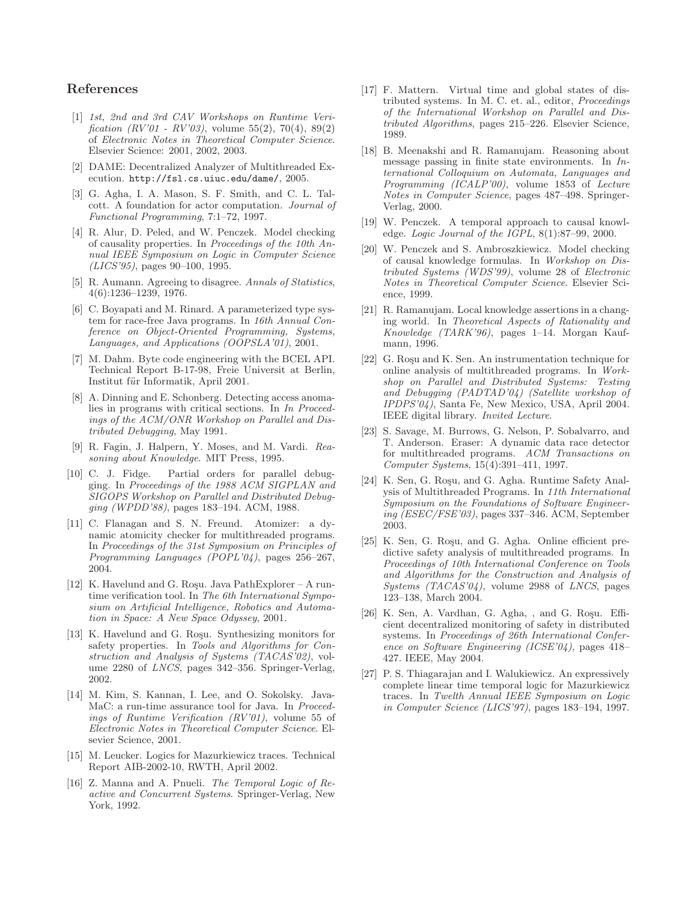# **References**

- [1] 1st, 2nd and 3rd CAV Workshops on Runtime Verification  $(RV'01 - RV'03)$ , volume 55(2), 70(4), 89(2) of Electronic Notes in Theoretical Computer Science. Elsevier Science: 2001, 2002, 2003.
- [2] DAME: Decentralized Analyzer of Multithreaded Execution. http://fsl.cs.uiuc.edu/dame/, 2005.
- [3] G. Agha, I. A. Mason, S. F. Smith, and C. L. Talcott. A foundation for actor computation. Journal of Functional Programming, 7:1–72, 1997.
- [4] R. Alur, D. Peled, and W. Penczek. Model checking of causality properties. In Proceedings of the 10th Annual IEEE Symposium on Logic in Computer Science (LICS'95), pages 90–100, 1995.
- [5] R. Aumann. Agreeing to disagree. Annals of Statistics, 4(6):1236–1239, 1976.
- [6] C. Boyapati and M. Rinard. A parameterized type system for race-free Java programs. In 16th Annual Conference on Object-Oriented Programming, Systems, Languages, and Applications (OOPSLA'01), 2001.
- [7] M. Dahm. Byte code engineering with the BCEL API. Technical Report B-17-98, Freie Universit at Berlin, Institut für Informatik, April 2001.
- [8] A. Dinning and E. Schonberg. Detecting access anomalies in programs with critical sections. In In Proceedings of the ACM/ONR Workshop on Parallel and Distributed Debugging, May 1991.
- [9] R. Fagin, J. Halpern, Y. Moses, and M. Vardi. Reasoning about Knowledge. MIT Press, 1995.
- [10] C. J. Fidge. Partial orders for parallel debugging. In Proceedings of the 1988 ACM SIGPLAN and SIGOPS Workshop on Parallel and Distributed Debugging (WPDD'88), pages 183–194. ACM, 1988.
- [11] C. Flanagan and S. N. Freund. Atomizer: a dynamic atomicity checker for multithreaded programs. In Proceedings of the 31st Symposium on Principles of Programming Languages (POPL'04), pages 256–267, 2004.
- [12] K. Havelund and G. Roşu. Java PathExplorer A runtime verification tool. In The 6th International Symposium on Artificial Intelligence, Robotics and Automation in Space: A New Space Odyssey, 2001.
- [13] K. Havelund and G. Roşu. Synthesizing monitors for safety properties. In Tools and Algorithms for Construction and Analysis of Systems (TACAS'02), volume 2280 of LNCS, pages 342–356. Springer-Verlag, 2002.
- [14] M. Kim, S. Kannan, I. Lee, and O. Sokolsky. Java-MaC: a run-time assurance tool for Java. In Proceedings of Runtime Verification (RV'01), volume 55 of Electronic Notes in Theoretical Computer Science. Elsevier Science, 2001.
- [15] M. Leucker. Logics for Mazurkiewicz traces. Technical Report AIB-2002-10, RWTH, April 2002.
- [16] Z. Manna and A. Pnueli. The Temporal Logic of Reactive and Concurrent Systems. Springer-Verlag, New York, 1992.
- [17] F. Mattern. Virtual time and global states of distributed systems. In M. C. et. al., editor, Proceedings of the International Workshop on Parallel and Distributed Algorithms, pages 215–226. Elsevier Science, 1989.
- [18] B. Meenakshi and R. Ramanujam. Reasoning about message passing in finite state environments. In International Colloquium on Automata, Languages and Programming (ICALP'00), volume 1853 of Lecture Notes in Computer Science, pages 487–498. Springer-Verlag, 2000.
- [19] W. Penczek. A temporal approach to causal knowledge. Logic Journal of the IGPL,  $8(1):87-99$ , 2000.
- [20] W. Penczek and S. Ambroszkiewicz. Model checking of causal knowledge formulas. In Workshop on Distributed Systems (WDS'99), volume 28 of Electronic Notes in Theoretical Computer Science. Elsevier Science, 1999.
- [21] R. Ramanujam. Local knowledge assertions in a changing world. In Theoretical Aspects of Rationality and Knowledge (TARK'96), pages 1–14. Morgan Kaufmann, 1996.
- [22] G. Roşu and K. Sen. An instrumentation technique for online analysis of multithreaded programs. In Workshop on Parallel and Distributed Systems: Testing and Debugging (PADTAD'04) (Satellite workshop of IPDPS'04), Santa Fe, New Mexico, USA, April 2004. IEEE digital library. Invited Lecture.
- [23] S. Savage, M. Burrows, G. Nelson, P. Sobalvarro, and T. Anderson. Eraser: A dynamic data race detector for multithreaded programs. ACM Transactions on Computer Systems, 15(4):391–411, 1997.
- [24] K. Sen, G. Rosu, and G. Agha. Runtime Safety Analysis of Multithreaded Programs. In 11th International Symposium on the Foundations of Software Engineering (ESEC/FSE'03), pages 337–346. ACM, September 2003.
- [25] K. Sen, G. Roşu, and G. Agha. Online efficient predictive safety analysis of multithreaded programs. In Proceedings of 10th International Conference on Tools and Algorithms for the Construction and Analysis of Systems (TACAS'04), volume 2988 of LNCS, pages 123–138, March 2004.
- [26] K. Sen, A. Vardhan, G. Agha, , and G. Roşu. Efficient decentralized monitoring of safety in distributed systems. In Proceedings of 26th International Conference on Software Engineering (ICSE'04), pages 418– 427. IEEE, May 2004.
- [27] P. S. Thiagarajan and I. Walukiewicz. An expressively complete linear time temporal logic for Mazurkiewicz traces. In Twelth Annual IEEE Symposium on Logic in Computer Science (LICS'97), pages 183–194, 1997.